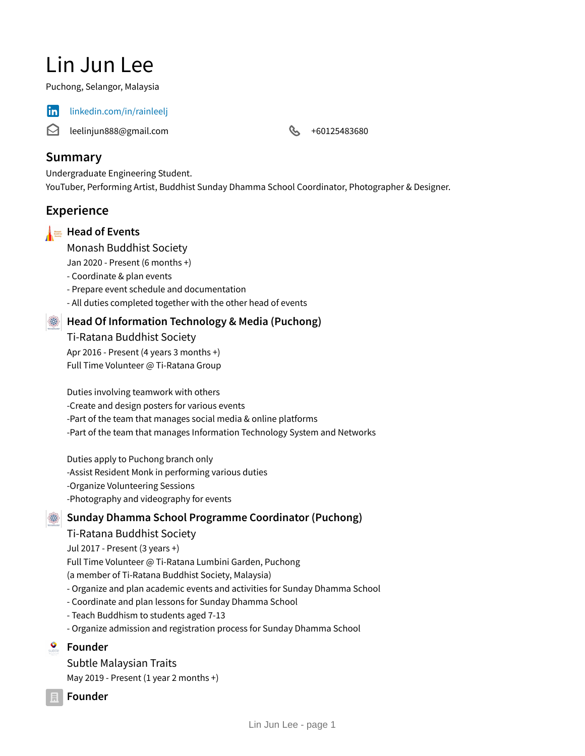# Lin Jun Lee

Puchong, Selangor, Malaysia



in [linkedin.com/in/rainleelj](https://www.linkedin.com/in/rainleelj)

 $\boldsymbol{\bowtie}$ leelinjun888@gmail.com **+60125483680** 

# **Summary**

Undergraduate Engineering Student. YouTuber, Performing Artist, Buddhist Sunday Dhamma School Coordinator, Photographer & Designer.

# **Experience**

## **Head of Events**

Monash Buddhist Society

Jan 2020 - Present (6 months +)

- Coordinate & plan events
- Prepare event schedule and documentation
- All duties completed together with the other head of events

## **Head Of Information Technology & Media (Puchong)**

Ti-Ratana Buddhist Society Apr 2016 - Present (4 years 3 months +) Full Time Volunteer @ Ti-Ratana Group

Duties involving teamwork with others -Create and design posters for various events -Part of the team that manages social media & online platforms -Part of the team that manages Information Technology System and Networks

Duties apply to Puchong branch only -Assist Resident Monk in performing various duties -Organize Volunteering Sessions -Photography and videography for events

## **Sunday Dhamma School Programme Coordinator (Puchong)**

Ti-Ratana Buddhist Society

Jul 2017 - Present (3 years +) Full Time Volunteer @ Ti-Ratana Lumbini Garden, Puchong (a member of Ti-Ratana Buddhist Society, Malaysia) - Organize and plan academic events and activities for Sunday Dhamma School - Coordinate and plan lessons for Sunday Dhamma School

- Teach Buddhism to students aged 7-13
- Organize admission and registration process for Sunday Dhamma School

## **Founder**

Subtle Malaysian Traits May 2019 - Present  $(1$  year 2 months +)

**Founder**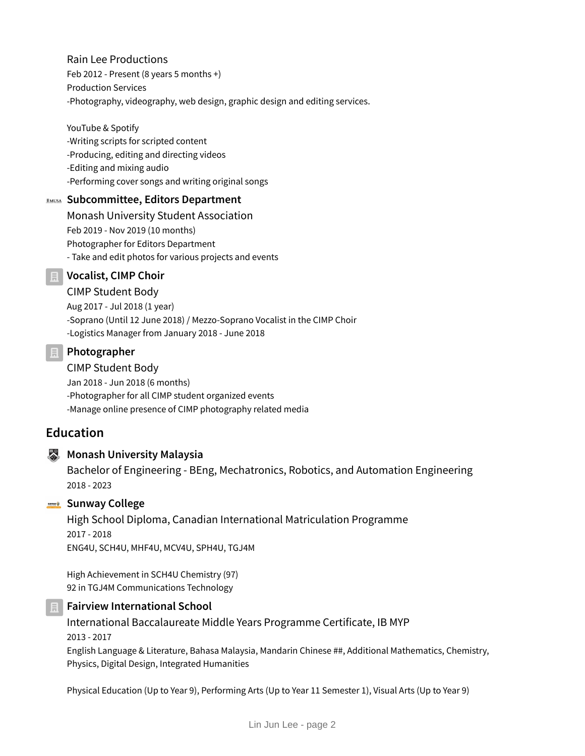Rain Lee Productions Feb 2012 - Present (8 years 5 months +) Production Services -Photography, videography, web design, graphic design and editing services.

YouTube & Spotify -Writing scripts for scripted content -Producing, editing and directing videos -Editing and mixing audio -Performing cover songs and writing original songs

## **Subcommittee, Editors Department**

Monash University Student Association Feb 2019 - Nov 2019 (10 months) Photographer for Editors Department - Take and edit photos for various projects and events

**Vocalist, CIMP Choir**

#### CIMP Student Body

Aug 2017 - Jul 2018 (1 year) -Soprano (Until 12 June 2018) / Mezzo-Soprano Vocalist in the CIMP Choir -Logistics Manager from January 2018 - June 2018

#### **Photographer**

CIMP Student Body Jan 2018 - Jun 2018 (6 months) -Photographer for all CIMP student organized events -Manage online presence of CIMP photography related media

# **Education**

#### **Monash University Malaysia**

Bachelor of Engineering - BEng, Mechatronics, Robotics, and Automation Engineering 2018 - 2023

#### **Sunway College**

High School Diploma, Canadian International Matriculation Programme 2017 - 2018 ENG4U, SCH4U, MHF4U, MCV4U, SPH4U, TGJ4M

High Achievement in SCH4U Chemistry (97) 92 in TGJ4M Communications Technology

#### **Fairview International School**

International Baccalaureate Middle Years Programme Certificate, IB MYP 2013 - 2017 English Language & Literature, Bahasa Malaysia, Mandarin Chinese ##, Additional Mathematics, Chemistry, Physics, Digital Design, Integrated Humanities

Physical Education (Up to Year 9), Performing Arts (Up to Year 11 Semester 1), Visual Arts (Up to Year 9)